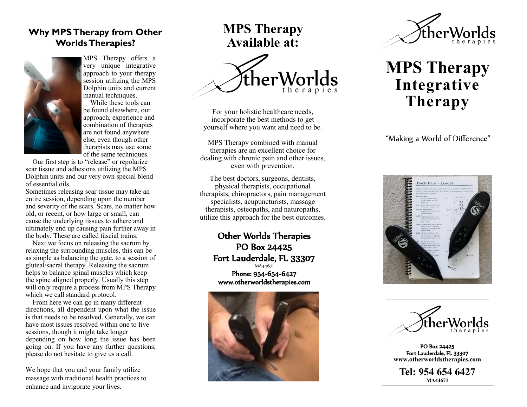## **Why MPS Therapy from Other Worlds Therapies?**



MPS Therapy offers a very unique integrative approach to your therapy session utilizing the MPS Dolphin units and current manual techniques.

 While these tools can be found elsewhere, our approach, experience and combination of therapies are not found anywhere else, even though other therapists may use some of the same techniques.

 Our first step is to "release" or repolarize scar tissue and adhesions utilizing the MPS Dolphin units and our very own special blend of essential oils.

Sometimes releasing scar tissue may take an entire session, depending upon the number and severity of the scars. Scars, no matter how old, or recent, or how large or small, can cause the underlying tissues to adhere and ultimately end up causing pain further away in the body. These are called fascial trains.

 Next we focus on releasing the sacrum by relaxing the surrounding muscles, this can be as simple as balancing the gate, to a session of gluteal/sacral therapy. Releasing the sacrum helps to balance spinal muscles which keep the spine aligned properly. Usually this step will only require a process from MPS Therapy which we call standard protocol.

 From here we can go in many different directions, all dependent upon what the issue is that needs to be resolved. Generally, we can have most issues resolved within one to five sessions, though it might take longer depending on how long the issue has been going on. If you have any further questions, please do not hesitate to give us a call.

We hope that you and your family utilize massage with traditional health practices to enhance and invigorate your lives.

## **MPS Therapy Available at:**



For your holistic healthcare needs, incorporate the best methods to get yourself where you want and need to be.

MPS Therapy combined with manual therapies are an excellent choice for dealing with chronic pain and other issues, even with prevention.

The best doctors, surgeons, dentists, physical therapists, occupational therapists, chiropractors, pain management specialists, acupuncturists, massage therapists, osteopaths, and naturopaths, utilize this approach for the best outcomes.

> Other Worlds Therapies PO Box 24425 Fort Lauderdale, FL 33307 MA44671 Phone: 954 -654 -6427 www.otherworldstherapies.com





# **MPS Therapy Integrative Therapy**

"Making a World of Difference"





PO Box 24425 Fort Lauderdale, FL 33307 **www.otherworldstherapies.com**

**Tel: 954 654 6427 MA44671**